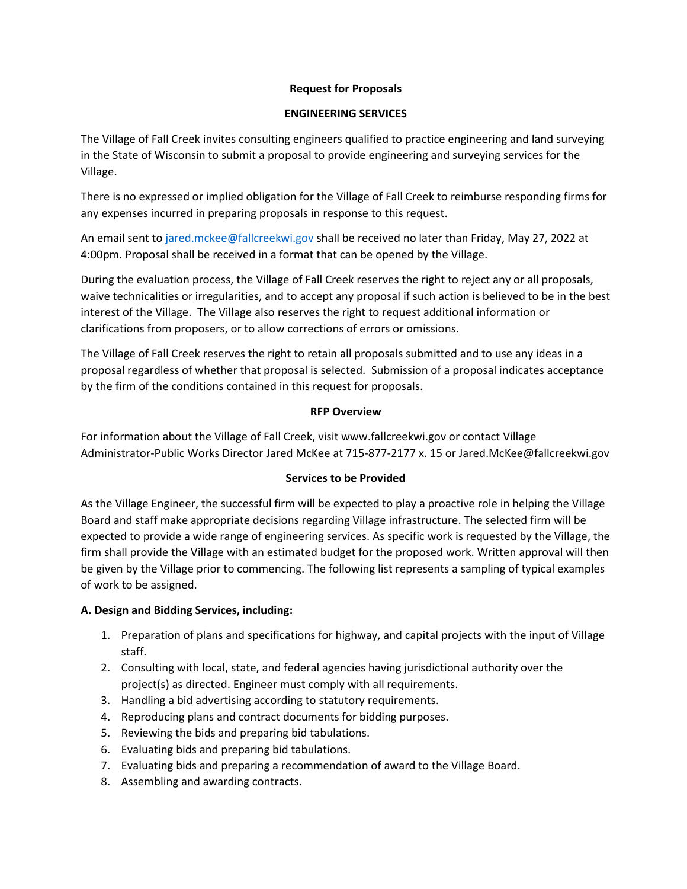### **Request for Proposals**

#### **ENGINEERING SERVICES**

The Village of Fall Creek invites consulting engineers qualified to practice engineering and land surveying in the State of Wisconsin to submit a proposal to provide engineering and surveying services for the Village.

There is no expressed or implied obligation for the Village of Fall Creek to reimburse responding firms for any expenses incurred in preparing proposals in response to this request.

An email sent to [jared.mckee@fallcreekwi.gov](mailto:jared.mckee@fallcreekwi.gov) shall be received no later than Friday, May 27, 2022 at 4:00pm. Proposal shall be received in a format that can be opened by the Village.

During the evaluation process, the Village of Fall Creek reserves the right to reject any or all proposals, waive technicalities or irregularities, and to accept any proposal if such action is believed to be in the best interest of the Village. The Village also reserves the right to request additional information or clarifications from proposers, or to allow corrections of errors or omissions.

The Village of Fall Creek reserves the right to retain all proposals submitted and to use any ideas in a proposal regardless of whether that proposal is selected. Submission of a proposal indicates acceptance by the firm of the conditions contained in this request for proposals.

### **RFP Overview**

For information about the Village of Fall Creek, visit www.fallcreekwi.gov or contact Village Administrator-Public Works Director Jared McKee at 715-877-2177 x. 15 or Jared.McKee@fallcreekwi.gov

# **Services to be Provided**

As the Village Engineer, the successful firm will be expected to play a proactive role in helping the Village Board and staff make appropriate decisions regarding Village infrastructure. The selected firm will be expected to provide a wide range of engineering services. As specific work is requested by the Village, the firm shall provide the Village with an estimated budget for the proposed work. Written approval will then be given by the Village prior to commencing. The following list represents a sampling of typical examples of work to be assigned.

# **A. Design and Bidding Services, including:**

- 1. Preparation of plans and specifications for highway, and capital projects with the input of Village staff.
- 2. Consulting with local, state, and federal agencies having jurisdictional authority over the project(s) as directed. Engineer must comply with all requirements.
- 3. Handling a bid advertising according to statutory requirements.
- 4. Reproducing plans and contract documents for bidding purposes.
- 5. Reviewing the bids and preparing bid tabulations.
- 6. Evaluating bids and preparing bid tabulations.
- 7. Evaluating bids and preparing a recommendation of award to the Village Board.
- 8. Assembling and awarding contracts.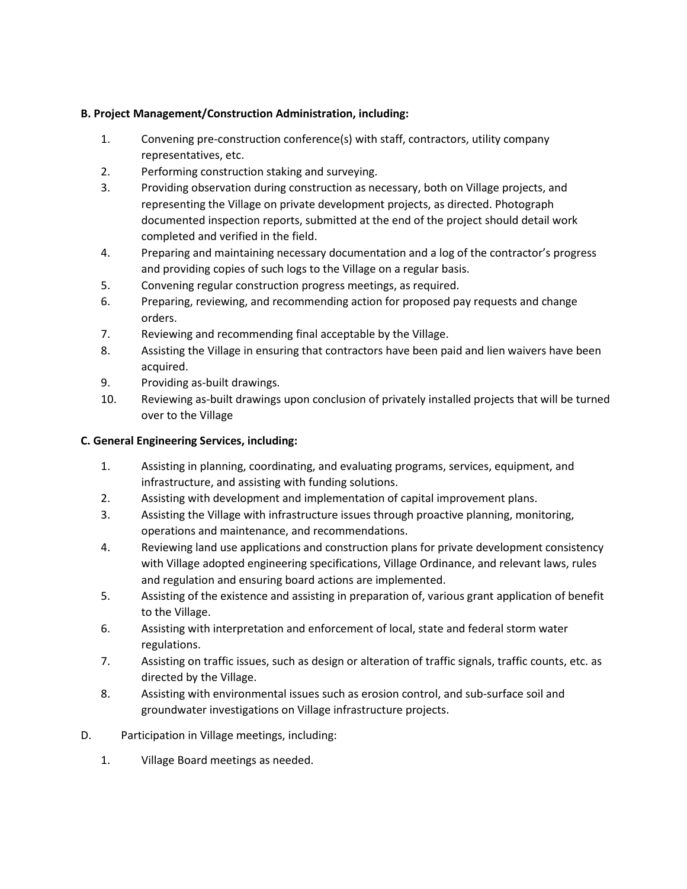# **B. Project Management/Construction Administration, including:**

- 1. Convening pre-construction conference(s) with staff, contractors, utility company representatives, etc.
- 2. Performing construction staking and surveying.
- 3. Providing observation during construction as necessary, both on Village projects, and representing the Village on private development projects, as directed. Photograph documented inspection reports, submitted at the end of the project should detail work completed and verified in the field.
- 4. Preparing and maintaining necessary documentation and a log of the contractor's progress and providing copies of such logs to the Village on a regular basis.
- 5. Convening regular construction progress meetings, as required.
- 6. Preparing, reviewing, and recommending action for proposed pay requests and change orders.
- 7. Reviewing and recommending final acceptable by the Village.
- 8. Assisting the Village in ensuring that contractors have been paid and lien waivers have been acquired.
- 9. Providing as-built drawings.
- 10. Reviewing as-built drawings upon conclusion of privately installed projects that will be turned over to the Village

# **C. General Engineering Services, including:**

- 1. Assisting in planning, coordinating, and evaluating programs, services, equipment, and infrastructure, and assisting with funding solutions.
- 2. Assisting with development and implementation of capital improvement plans.
- 3. Assisting the Village with infrastructure issues through proactive planning, monitoring, operations and maintenance, and recommendations.
- 4. Reviewing land use applications and construction plans for private development consistency with Village adopted engineering specifications, Village Ordinance, and relevant laws, rules and regulation and ensuring board actions are implemented.
- 5. Assisting of the existence and assisting in preparation of, various grant application of benefit to the Village.
- 6. Assisting with interpretation and enforcement of local, state and federal storm water regulations.
- 7. Assisting on traffic issues, such as design or alteration of traffic signals, traffic counts, etc. as directed by the Village.
- 8. Assisting with environmental issues such as erosion control, and sub-surface soil and groundwater investigations on Village infrastructure projects.
- D. Participation in Village meetings, including:
	- 1. Village Board meetings as needed.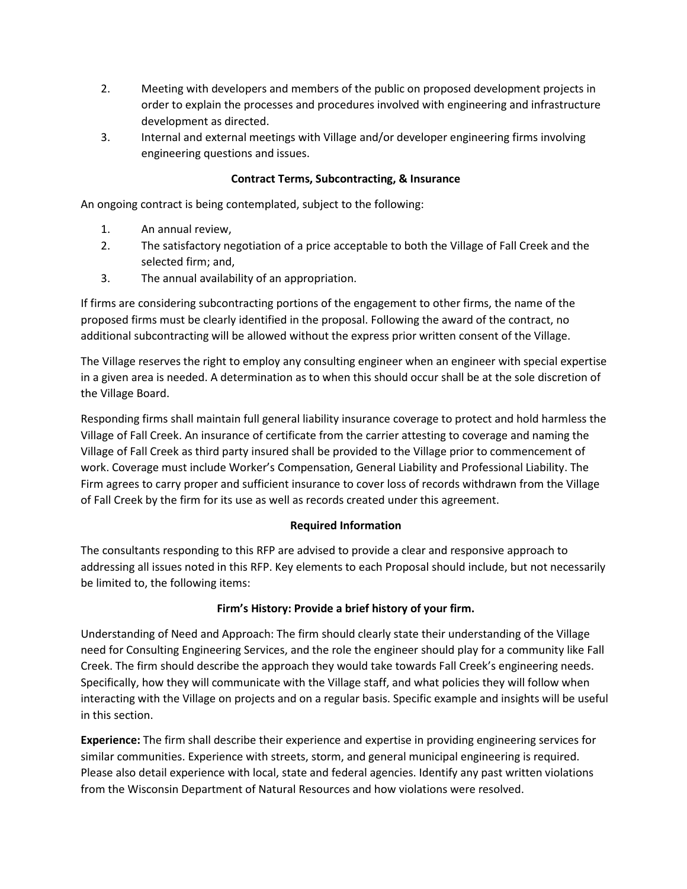- 2. Meeting with developers and members of the public on proposed development projects in order to explain the processes and procedures involved with engineering and infrastructure development as directed.
- 3. Internal and external meetings with Village and/or developer engineering firms involving engineering questions and issues.

### **Contract Terms, Subcontracting, & Insurance**

An ongoing contract is being contemplated, subject to the following:

- 1. An annual review,
- 2. The satisfactory negotiation of a price acceptable to both the Village of Fall Creek and the selected firm; and,
- 3. The annual availability of an appropriation.

If firms are considering subcontracting portions of the engagement to other firms, the name of the proposed firms must be clearly identified in the proposal. Following the award of the contract, no additional subcontracting will be allowed without the express prior written consent of the Village.

The Village reserves the right to employ any consulting engineer when an engineer with special expertise in a given area is needed. A determination as to when this should occur shall be at the sole discretion of the Village Board.

Responding firms shall maintain full general liability insurance coverage to protect and hold harmless the Village of Fall Creek. An insurance of certificate from the carrier attesting to coverage and naming the Village of Fall Creek as third party insured shall be provided to the Village prior to commencement of work. Coverage must include Worker's Compensation, General Liability and Professional Liability. The Firm agrees to carry proper and sufficient insurance to cover loss of records withdrawn from the Village of Fall Creek by the firm for its use as well as records created under this agreement.

#### **Required Information**

The consultants responding to this RFP are advised to provide a clear and responsive approach to addressing all issues noted in this RFP. Key elements to each Proposal should include, but not necessarily be limited to, the following items:

# **Firm's History: Provide a brief history of your firm.**

Understanding of Need and Approach: The firm should clearly state their understanding of the Village need for Consulting Engineering Services, and the role the engineer should play for a community like Fall Creek. The firm should describe the approach they would take towards Fall Creek's engineering needs. Specifically, how they will communicate with the Village staff, and what policies they will follow when interacting with the Village on projects and on a regular basis. Specific example and insights will be useful in this section.

**Experience:** The firm shall describe their experience and expertise in providing engineering services for similar communities. Experience with streets, storm, and general municipal engineering is required. Please also detail experience with local, state and federal agencies. Identify any past written violations from the Wisconsin Department of Natural Resources and how violations were resolved.